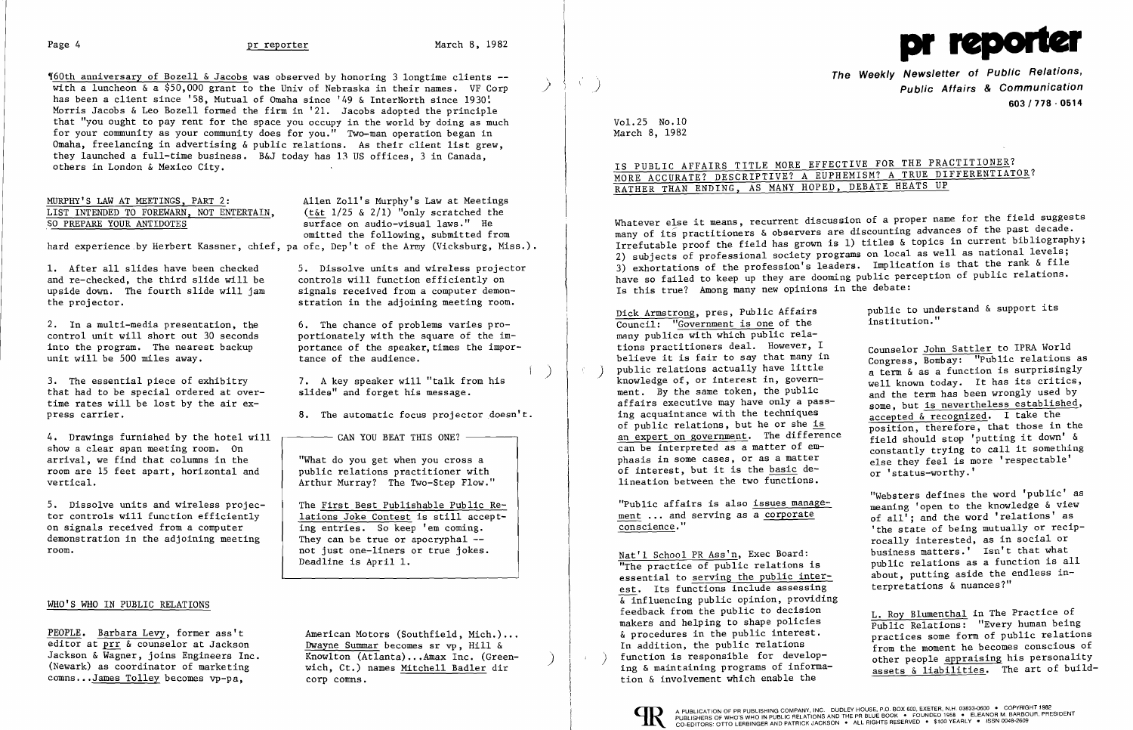

160th anniversary of Bozell & Jacobs was observed by honoring 3 longtime clients -with a luncheon  $\&$  a \$50,000 grant to the Univ of Nebraska in their names. VF Corp has been a client since '58, Mutual of Omaha since '49 & InterNorth since 1930! Morris Jacobs & Leo Bozell formed the firm in '21. Jacobs adopted the principle that "you ought to pay rent for the space you occupy in the world by doing as much for your community as your community does for you." Two-man operation began in Omaha, freelancing in advertising & public relations. As their client list grew, they launched a full-time business. B&J today has 13 US offices, 3 in Canada, others in London & Mexico City.

## MURPHY'S LAW AT MEETINGS, PART 2:<br>LIST INTENDED TO FOREWARN, NOT ENTERTAIN, (t&t 1/25 & 2/1) "only scratched the LIST INTENDED TO FOREWARN, NOT ENTERTAIN,  $(t < t)$  /25 & 2/1) "only scratched the surface on audio-visual laws." He

and re-checked, the third slide will be controls will function efficiently on upside down. The fourth slide will jam signals received from a computer demonupside down. The fourth slide will jam the projector.

2. In a multi-media presentation, the  $\qquad \qquad 6$ . The chance of problems varies pro-<br>control unit will short out 30 seconds bortionately with the square of the imunit will be  $500$  miles away.

3. The essential piece of exhibitry 7. A key speaker will "talk from his that had to be special ordered at over-<br>slides" and forget his message. that had to be special ordered at overtime rates will be lost by the air ex press carrier. 8. The automatic focus projector doesn't.

4. Drawings furnished by the hotel will show a clear span meeting room. On arrival, we find that columns in the "What do you get when you cross a<br>room are 15 feet apart, horizontal and public relations practitioner with room are 15 feet apart, horizontal and vertical.

5. Dissolve units and wireless projec-<br>
tor controls will function efficiently<br>
lations Joke Contest is still accepttor controls will function efficiently  $\begin{array}{c|c} \text{lations Joke Contest is still acc} \\ \hline \text{ing entries. So keep 'em coming.} \end{array}$ on signals received from a computer ing entries. So keep 'em coming.<br>demonstration in the adjoining meeting They can be true or apocryphal -demonstration in the adjoining meeting room.

not just one-liners or true jokes. Deadline is April 1.

Jackson & Wagner, joins Engineers Inc. Knowlton (Atlanta)...Amax Inc. (Green-<br>(Newark) as coordinator of marketing wich, Ct.) names Mitchell Badler dir

"Websters defines the word 'public' as "Public affairs is also issues manage-<br>meaning 'open to the knowledge  $\δ$  view<br>of all's and the word 'relations' as 'the state of being mutually or reciprocally interested, as in social or Nat'l School PR Ass'n, Exec Board: business matters.' Isn't that what "The practice of public relations is a about, putting aside the endless in-<br>terpretations  $\&$  nuances?"

makers and helping to shape policies<br>  $\frac{1}{2}$  Public Relations: "Every human being<br>  $\frac{1}{2}$  procedures in the public relations<br>  $\frac{1}{2}$  procedures some form of public relations<br>  $\frac{1}{2}$  from the moment he becomes c from the moment he becomes conscious of<br>other people appraising his personality assets & liabilities. The art of build-

### WHO'S WHO IN PUBLIC RELATIONS

PEOPLE. Barbara Levy, former ass't American Motors (Southfield, Mich.)... editor at prr & counselor at Jackson<br>Jackson & Wagner, joins Engineers Inc. (Knowlton (Atlanta)...Amax Inc. (Gree comns... James Tolley becomes vp-pa, corp comns.

surface on audio-visual laws." He omitted the following, submitted from hard experience by Herbert Kassner, chief, pa ofc, Dep't of the Army (Vicksburg, Miss.).

1. After all slides have been checked 5. Dissolve units and wireless projector and re-checked, the third slide will be controls will function efficiently on stration in the adjoining meeting room.

control unit will short out 30 seconds portionately with the square of the im-<br>into the program. The nearest backup portance of the speaker, times the imporportance of the speaker, times the impor-<br>tance of the audience.

 $-$  CAN YOU BEAT THIS ONE?  $-$ 

Arthur Murray? The Two-Step Flow."

)

The Weekly Newsletter of Public Relations, Public Affairs & Communication 603/778·0514

The practice of public relations is a public relations as a function is all essential to serving the public inter-<br>essential to serving the public inter-<br>about, putting aside the endless inest. Its functions include assessing  $\overline{\mathbf{x}}$  influencing public opinion, providing<br>feedback from the public to decision feedback from the public to decision<br>makers and helping to shape policies  $L.$  Roy Blumenthal in The Practice of function is responsible for develop-<br>ing & maintaining programs of information & involvement which enable the



Vol. 25 No. 10 March 8, 1982

IS PUBLIC AFFAIRS TITLE MORE EFFECTIVE FOR THE PRACTITIONER?

Dick Armstrong, pres, Public Affairs and public to understand & support its point its presonal public to understand & support its

else they feel is more 'respectable'<br>or 'status-worthy.'

# MORE ACCURATE? DESCRIPTIVE? A EUPHEMISM? A TRUE DIFFERENTIATOR? RATHER THAN ENDING, AS MANY HOPED, DEBATE HEATS UP

Whatever else it means, recurrent discussion of a proper name for the field suggests many of its practitioners & observers are discounting advances of the past decade. Irrefutable proof the field has grown is 1) titles & topics in current bibliography; 2) subjects of professional society programs on local as well as national levels; 3) exhortations of the profession's leaders. Implication is that the rank & file have so failed to keep up they are dooming public perception of public relations. Is this true? Among many new opinions in the debate:

Council: "Government is one of the many publics with which public rela-<br>tions practitioners deal. However, I tions practitioners deal. However,  $\frac{1}{100}$  counselor John Sattler to IPRA World believe it is fair to say that many in Congress Rombay: "Public relations believe it is fair to say that many in<br>
public relations actually have little<br>
a term  $\&$  as a function is surprisingly () public relations actually have little a term & as a function is surprisingly<br>knowledge of, or interest in, governknowledge of, or interest in, govern-<br>ment. By the same token, the public and the term has been wrongly used by affairs executive may have only a pass-<br>ing acquaintance with the techniques<br>accepted by acception of take the ing acquaintance with the techniques<br>of public relations, but he or she is<br> $\frac{1}{n}$  accepted & recognized. I take the of public relations, but he or she  $\frac{1s}{1}$  position, therefore, that those in the an expert on government. The difference an expert on government. The difference  $\frac{1}{2}$  field should stop 'putting it down' & can be interpreted as a matter of  $e^m$  constantly trying to call it something<br>phasis in some cases, or as a matter  $e^{i}$  also they feel is more 'respectable' of interest, but it is the basic de-<br>lineation between the two functions.

ment ... and serving as a corporate  $\begin{array}{c}$  of all<sup>1</sup>; and the word 'relations' as conscience."